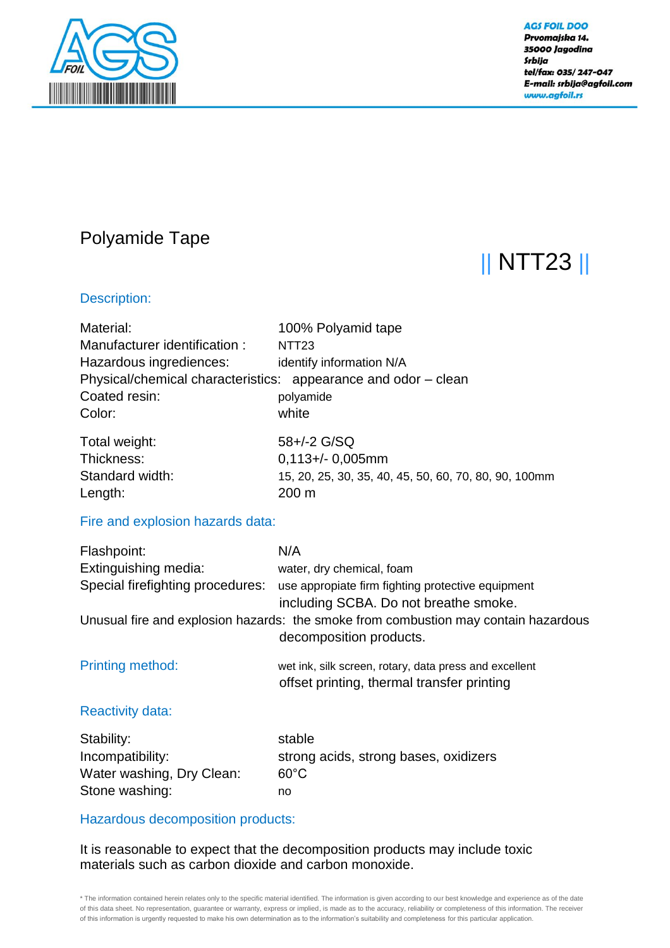

**AGS FOIL DOO** Prvomajska 14. 35000 Jagodina Srbija tel/fax: 035/247-047 E-mail: srbija@agfoil.com www.agfoil.rs

# Polyamide Tape

# || NTT23 ||

## Description:

| Material:<br>Manufacturer identification:<br>Hazardous ingrediences:<br>Coated resin:<br>Color: | 100% Polyamid tape<br>NTT <sub>23</sub><br>identify information N/A<br>Physical/chemical characteristics: appearance and odor - clean<br>polyamide<br>white                                                                                                                       |
|-------------------------------------------------------------------------------------------------|-----------------------------------------------------------------------------------------------------------------------------------------------------------------------------------------------------------------------------------------------------------------------------------|
| Total weight:<br>Thickness:<br>Standard width:<br>Length:                                       | 58+/-2 G/SQ<br>$0,113 + / - 0,005$ mm<br>15, 20, 25, 30, 35, 40, 45, 50, 60, 70, 80, 90, 100mm<br>200 m                                                                                                                                                                           |
| Fire and explosion hazards data:                                                                |                                                                                                                                                                                                                                                                                   |
| Flashpoint:<br>Extinguishing media:                                                             | N/A<br>water, dry chemical, foam<br>Special firefighting procedures: use appropiate firm fighting protective equipment<br>including SCBA. Do not breathe smoke.<br>Unusual fire and explosion hazards: the smoke from combustion may contain hazardous<br>decomposition products. |
| Printing method:                                                                                | wet ink, silk screen, rotary, data press and excellent<br>offset printing, thermal transfer printing                                                                                                                                                                              |
| <b>Reactivity data:</b>                                                                         |                                                                                                                                                                                                                                                                                   |
| Stability:<br>Incompatibility:<br>Water washing, Dry Clean:<br>Stone washing:                   | stable<br>strong acids, strong bases, oxidizers<br>$60^{\circ}$ C<br>no                                                                                                                                                                                                           |

### Hazardous decomposition products:

It is reasonable to expect that the decomposition products may include toxic materials such as carbon dioxide and carbon monoxide.

\* The information contained herein relates only to the specific material identified. The information is given according to our best knowledge and experience as of the date of this data sheet. No representation, guarantee or warranty, express or implied, is made as to the accuracy, reliability or completeness of this information. The receiver of this information is urgently requested to make his own determination as to the information's suitability and completeness for this particular application.